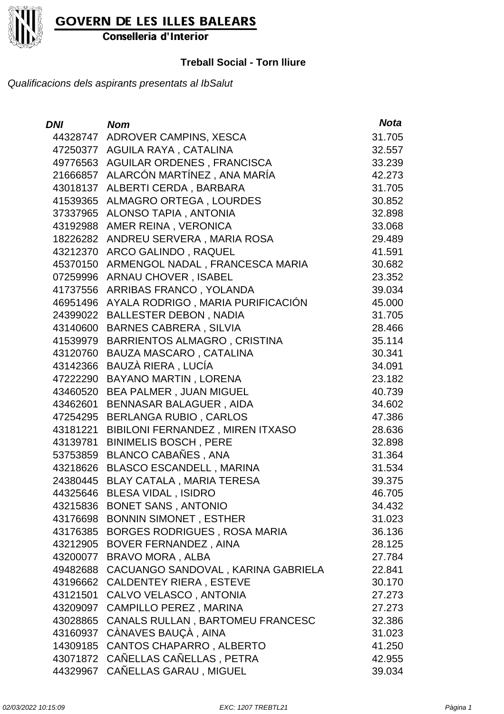

Conselleria d'Interior

#### **Treball Social - Torn lliure**

| DNI      | <b>Nom</b>                          | <b>Nota</b> |
|----------|-------------------------------------|-------------|
| 44328747 | ADROVER CAMPINS, XESCA              | 31.705      |
| 47250377 | AGUILA RAYA, CATALINA               | 32.557      |
| 49776563 | AGUILAR ORDENES, FRANCISCA          | 33.239      |
| 21666857 | ALARCÓN MARTÍNEZ, ANA MARÍA         | 42.273      |
| 43018137 | ALBERTI CERDA, BARBARA              | 31.705      |
| 41539365 | <b>ALMAGRO ORTEGA, LOURDES</b>      | 30.852      |
| 37337965 | ALONSO TAPIA, ANTONIA               | 32.898      |
| 43192988 | AMER REINA, VERONICA                | 33.068      |
| 18226282 | ANDREU SERVERA, MARIA ROSA          | 29.489      |
| 43212370 | ARCO GALINDO, RAQUEL                | 41.591      |
| 45370150 | ARMENGOL NADAL, FRANCESCA MARIA     | 30.682      |
| 07259996 | <b>ARNAU CHOVER, ISABEL</b>         | 23.352      |
| 41737556 | ARRIBAS FRANCO, YOLANDA             | 39.034      |
| 46951496 | AYALA RODRIGO, MARIA PURIFICACIÓN   | 45.000      |
| 24399022 | <b>BALLESTER DEBON, NADIA</b>       | 31.705      |
| 43140600 | <b>BARNES CABRERA, SILVIA</b>       | 28.466      |
| 41539979 | BARRIENTOS ALMAGRO, CRISTINA        | 35.114      |
| 43120760 | <b>BAUZA MASCARO, CATALINA</b>      | 30.341      |
| 43142366 | BAUZÀ RIERA, LUCÍA                  | 34.091      |
| 47222290 | BAYANO MARTIN, LORENA               | 23.182      |
| 43460520 | BEA PALMER, JUAN MIGUEL             | 40.739      |
| 43462601 | <b>BENNASAR BALAGUER, AIDA</b>      | 34.602      |
| 47254295 | <b>BERLANGA RUBIO, CARLOS</b>       | 47.386      |
| 43181221 | BIBILONI FERNANDEZ, MIREN ITXASO    | 28.636      |
| 43139781 | <b>BINIMELIS BOSCH, PERE</b>        | 32.898      |
| 53753859 | BLANCO CABAÑES, ANA                 | 31.364      |
| 43218626 | <b>BLASCO ESCANDELL, MARINA</b>     | 31.534      |
| 24380445 | BLAY CATALA, MARIA TERESA           | 39.375      |
| 44325646 | <b>BLESA VIDAL, ISIDRO</b>          | 46.705      |
|          | 43215836 BONET SANS, ANTONIO        | 34.432      |
|          | 43176698 BONNIN SIMONET, ESTHER     | 31.023      |
| 43176385 | <b>BORGES RODRIGUES, ROSA MARIA</b> | 36.136      |
| 43212905 | BOVER FERNANDEZ, AINA               | 28.125      |
| 43200077 | <b>BRAVO MORA, ALBA</b>             | 27.784      |
| 49482688 | CACUANGO SANDOVAL, KARINA GABRIELA  | 22.841      |
| 43196662 | <b>CALDENTEY RIERA, ESTEVE</b>      | 30.170      |
| 43121501 | CALVO VELASCO, ANTONIA              | 27.273      |
| 43209097 | CAMPILLO PEREZ, MARINA              | 27.273      |
| 43028865 | CANALS RULLAN, BARTOMEU FRANCESC    | 32.386      |
| 43160937 | CÀNAVES BAUÇÀ, AINA                 | 31.023      |
| 14309185 | CANTOS CHAPARRO, ALBERTO            | 41.250      |
| 43071872 | CAÑELLAS CAÑELLAS, PETRA            | 42.955      |
| 44329967 | CAÑELLAS GARAU, MIGUEL              | 39.034      |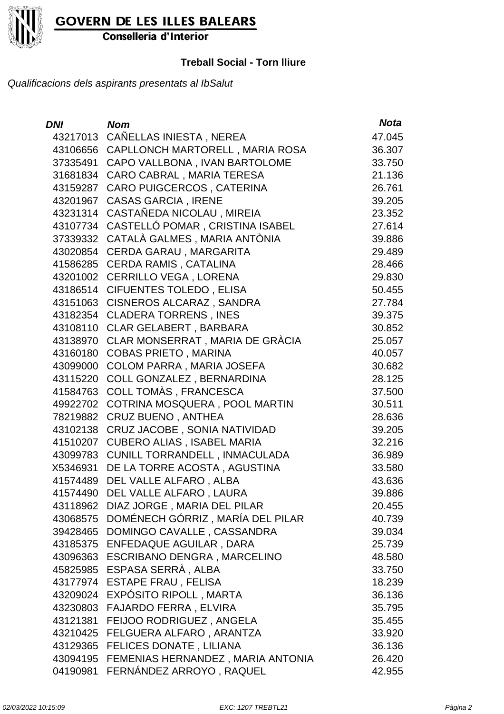

Conselleria d'Interior

#### **Treball Social - Torn lliure**

| <b>DNI</b> | <b>Nom</b>                        | <b>Nota</b> |
|------------|-----------------------------------|-------------|
| 43217013   | CAÑELLAS INIESTA, NEREA           | 47.045      |
| 43106656   | CAPLLONCH MARTORELL, MARIA ROSA   | 36.307      |
| 37335491   | CAPO VALLBONA, IVAN BARTOLOME     | 33.750      |
| 31681834   | CARO CABRAL, MARIA TERESA         | 21.136      |
| 43159287   | CARO PUIGCERCOS, CATERINA         | 26.761      |
| 43201967   | <b>CASAS GARCIA, IRENE</b>        | 39.205      |
| 43231314   | CASTAÑEDA NICOLAU, MIREIA         | 23.352      |
| 43107734   | CASTELLÓ POMAR, CRISTINA ISABEL   | 27.614      |
| 37339332   | CATALÀ GALMES, MARIA ANTÒNIA      | 39.886      |
| 43020854   | CERDA GARAU, MARGARITA            | 29.489      |
| 41586285   | <b>CERDA RAMIS, CATALINA</b>      | 28.466      |
| 43201002   | <b>CERRILLO VEGA, LORENA</b>      | 29.830      |
| 43186514   | <b>CIFUENTES TOLEDO, ELISA</b>    | 50.455      |
| 43151063   | CISNEROS ALCARAZ, SANDRA          | 27.784      |
| 43182354   | <b>CLADERA TORRENS, INES</b>      | 39.375      |
| 43108110   | <b>CLAR GELABERT, BARBARA</b>     | 30.852      |
| 43138970   | CLAR MONSERRAT, MARIA DE GRÀCIA   | 25.057      |
| 43160180   | <b>COBAS PRIETO, MARINA</b>       | 40.057      |
| 43099000   | <b>COLOM PARRA, MARIA JOSEFA</b>  | 30.682      |
| 43115220   | COLL GONZALEZ, BERNARDINA         | 28.125      |
| 41584763   | COLL TOMÀS, FRANCESCA             | 37.500      |
| 49922702   | COTRINA MOSQUERA, POOL MARTIN     | 30.511      |
| 78219882   | <b>CRUZ BUENO, ANTHEA</b>         | 28.636      |
| 43102138   | CRUZ JACOBE, SONIA NATIVIDAD      | 39.205      |
| 41510207   | <b>CUBERO ALIAS, ISABEL MARIA</b> | 32.216      |
| 43099783   | CUNILL TORRANDELL, INMACULADA     | 36.989      |
| X5346931   | DE LA TORRE ACOSTA, AGUSTINA      | 33.580      |
| 41574489   | DEL VALLE ALFARO, ALBA            | 43.636      |
| 41574490   | DEL VALLE ALFARO, LAURA           | 39.886      |
| 43118962   | DIAZ JORGE, MARIA DEL PILAR       | 20.455      |
| 43068575   | DOMÉNECH GÓRRIZ, MARÍA DEL PILAR  | 40.739      |
| 39428465   | DOMINGO CAVALLE, CASSANDRA        | 39.034      |
| 43185375   | ENFEDAQUE AGUILAR, DARA           | 25.739      |
| 43096363   | ESCRIBANO DENGRA, MARCELINO       | 48.580      |
| 45825985   | ESPASA SERRÀ, ALBA                | 33.750      |
| 43177974   | <b>ESTAPE FRAU, FELISA</b>        | 18.239      |
| 43209024   | EXPÓSITO RIPOLL, MARTA            | 36.136      |
| 43230803   | FAJARDO FERRA, ELVIRA             | 35.795      |
| 43121381   | FEIJOO RODRIGUEZ, ANGELA          | 35.455      |
| 43210425   | FELGUERA ALFARO, ARANTZA          | 33.920      |
| 43129365   | <b>FELICES DONATE, LILIANA</b>    | 36.136      |
| 43094195   | FEMENIAS HERNANDEZ, MARIA ANTONIA | 26.420      |
| 04190981   | FERNÁNDEZ ARROYO, RAQUEL          | 42.955      |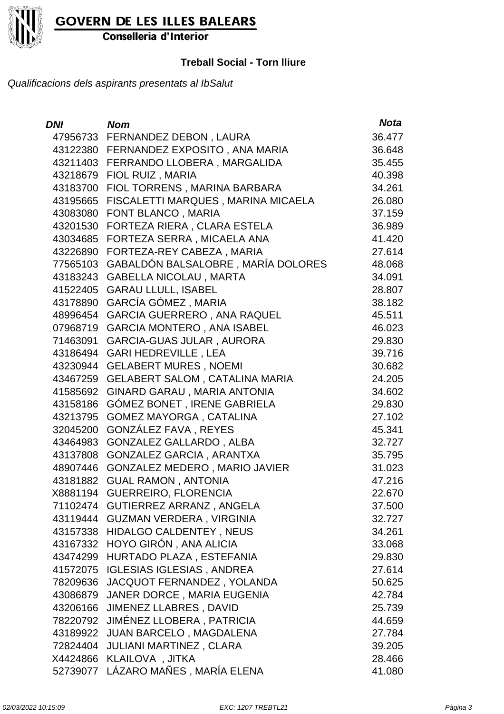

Conselleria d'Interior

#### **Treball Social - Torn lliure**

| DNI      | <b>Nom</b>                             | <b>Nota</b> |
|----------|----------------------------------------|-------------|
|          | 47956733 FERNANDEZ DEBON, LAURA        | 36.477      |
|          | 43122380 FERNANDEZ EXPOSITO, ANA MARIA | 36.648      |
|          | 43211403 FERRANDO LLOBERA, MARGALIDA   | 35.455      |
|          | 43218679 FIOL RUIZ, MARIA              | 40.398      |
|          | 43183700 FIOL TORRENS, MARINA BARBARA  | 34.261      |
| 43195665 | FISCALETTI MARQUES, MARINA MICAELA     | 26.080      |
| 43083080 | FONT BLANCO, MARIA                     | 37.159      |
| 43201530 | FORTEZA RIERA, CLARA ESTELA            | 36.989      |
|          | 43034685 FORTEZA SERRA, MICAELA ANA    | 41.420      |
| 43226890 | FORTEZA-REY CABEZA, MARIA              | 27.614      |
| 77565103 | GABALDÓN BALSALOBRE, MARÍA DOLORES     | 48.068      |
|          | 43183243 GABELLA NICOLAU, MARTA        | 34.091      |
|          | 41522405 GARAU LLULL, ISABEL           | 28.807      |
| 43178890 | GARCÍA GÓMEZ, MARIA                    | 38.182      |
| 48996454 | <b>GARCIA GUERRERO, ANA RAQUEL</b>     | 45.511      |
| 07968719 | <b>GARCIA MONTERO, ANA ISABEL</b>      | 46.023      |
| 71463091 | <b>GARCIA-GUAS JULAR, AURORA</b>       | 29.830      |
| 43186494 | <b>GARI HEDREVILLE, LEA</b>            | 39.716      |
| 43230944 | <b>GELABERT MURES, NOEMI</b>           | 30.682      |
| 43467259 | <b>GELABERT SALOM, CATALINA MARIA</b>  | 24.205      |
| 41585692 | GINARD GARAU, MARIA ANTONIA            | 34.602      |
| 43158186 | <b>GÓMEZ BONET, IRENE GABRIELA</b>     | 29.830      |
| 43213795 | <b>GOMEZ MAYORGA, CATALINA</b>         | 27.102      |
| 32045200 | GONZÁLEZ FAVA, REYES                   | 45.341      |
| 43464983 | <b>GONZALEZ GALLARDO, ALBA</b>         | 32.727      |
| 43137808 | <b>GONZALEZ GARCIA, ARANTXA</b>        | 35.795      |
| 48907446 | <b>GONZALEZ MEDERO, MARIO JAVIER</b>   | 31.023      |
| 43181882 | <b>GUAL RAMON, ANTONIA</b>             | 47.216      |
| X8881194 | <b>GUERREIRO, FLORENCIA</b>            | 22.670      |
| 71102474 | GUTIERREZ ARRANZ, ANGELA               | 37.500      |
|          | 43119444 GUZMAN VERDERA, VIRGINIA      | 32.727      |
| 43157338 | <b>HIDALGO CALDENTEY, NEUS</b>         | 34.261      |
| 43167332 | HOYO GIRÓN, ANA ALICIA                 | 33.068      |
| 43474299 | HURTADO PLAZA, ESTEFANIA               | 29.830      |
| 41572075 | <b>IGLESIAS IGLESIAS, ANDREA</b>       | 27.614      |
| 78209636 | JACQUOT FERNANDEZ, YOLANDA             | 50.625      |
| 43086879 | JANER DORCE, MARIA EUGENIA             | 42.784      |
| 43206166 | <b>JIMENEZ LLABRES, DAVID</b>          | 25.739      |
|          | 78220792 JIMÉNEZ LLOBERA, PATRICIA     | 44.659      |
| 43189922 | JUAN BARCELO, MAGDALENA                | 27.784      |
| 72824404 | <b>JULIANI MARTINEZ, CLARA</b>         | 39.205      |
| X4424866 | KLAILOVA, JITKA                        | 28.466      |
| 52739077 | LÁZARO MAÑES, MARÍA ELENA              | 41.080      |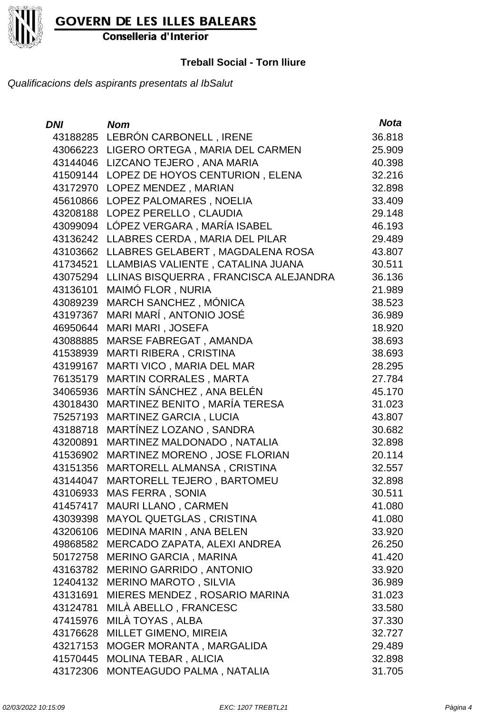

Conselleria d'Interior

#### **Treball Social - Torn lliure**

| <b>DNI</b> | <b>Nom</b>                               | <b>Nota</b> |
|------------|------------------------------------------|-------------|
|            | 43188285 LEBRÓN CARBONELL, IRENE         | 36.818      |
|            | 43066223 LIGERO ORTEGA, MARIA DEL CARMEN | 25.909      |
|            | 43144046 LIZCANO TEJERO, ANA MARIA       | 40.398      |
| 41509144   | LOPEZ DE HOYOS CENTURION, ELENA          | 32.216      |
| 43172970   | LOPEZ MENDEZ, MARIAN                     | 32.898      |
| 45610866   | LOPEZ PALOMARES, NOELIA                  | 33.409      |
| 43208188   | LOPEZ PERELLO, CLAUDIA                   | 29.148      |
| 43099094   | LÓPEZ VERGARA, MARÍA ISABEL              | 46.193      |
| 43136242   | LLABRES CERDA, MARIA DEL PILAR           | 29.489      |
| 43103662   | LLABRES GELABERT, MAGDALENA ROSA         | 43.807      |
| 41734521   | LLAMBIAS VALIENTE, CATALINA JUANA        | 30.511      |
| 43075294   | LLINAS BISQUERRA, FRANCISCA ALEJANDRA    | 36.136      |
| 43136101   | MAIMÓ FLOR, NURIA                        | 21.989      |
| 43089239   | <b>MARCH SANCHEZ, MÓNICA</b>             | 38.523      |
| 43197367   | MARI MARÍ, ANTONIO JOSÉ                  | 36.989      |
| 46950644   | MARI MARI, JOSEFA                        | 18.920      |
| 43088885   | MARSE FABREGAT, AMANDA                   | 38.693      |
| 41538939   | <b>MARTI RIBERA, CRISTINA</b>            | 38.693      |
| 43199167   | MARTI VICO, MARIA DEL MAR                | 28.295      |
| 76135179   | <b>MARTIN CORRALES, MARTA</b>            | 27.784      |
| 34065936   | MARTÍN SÁNCHEZ, ANA BELÉN                | 45.170      |
| 43018430   | MARTINEZ BENITO, MARÍA TERESA            | 31.023      |
| 75257193   | MARTINEZ GARCIA, LUCIA                   | 43.807      |
| 43188718   | MARTÍNEZ LOZANO, SANDRA                  | 30.682      |
| 43200891   | MARTINEZ MALDONADO, NATALIA              | 32.898      |
| 41536902   | MARTINEZ MORENO, JOSE FLORIAN            | 20.114      |
| 43151356   | MARTORELL ALMANSA, CRISTINA              | 32.557      |
| 43144047   | MARTORELL TEJERO, BARTOMEU               | 32.898      |
| 43106933   | <b>MAS FERRA, SONIA</b>                  | 30.511      |
| 41457417   | <b>MAURI LLANO, CARMEN</b>               | 41.080      |
| 43039398   | MAYOL QUETGLAS, CRISTINA                 | 41.080      |
| 43206106   | MEDINA MARIN, ANA BELEN                  | 33.920      |
| 49868582   | MERCADO ZAPATA, ALEXI ANDREA             | 26.250      |
| 50172758   | <b>MERINO GARCIA, MARINA</b>             | 41.420      |
| 43163782   | MERINO GARRIDO, ANTONIO                  | 33.920      |
| 12404132   | <b>MERINO MAROTO, SILVIA</b>             | 36.989      |
| 43131691   | MIERES MENDEZ, ROSARIO MARINA            | 31.023      |
| 43124781   | MILÀ ABELLO, FRANCESC                    | 33.580      |
| 47415976   | MILÀ TOYAS, ALBA                         | 37.330      |
| 43176628   | MILLET GIMENO, MIREIA                    | 32.727      |
| 43217153   | MOGER MORANTA, MARGALIDA                 | 29.489      |
| 41570445   | <b>MOLINA TEBAR, ALICIA</b>              | 32.898      |
| 43172306   | MONTEAGUDO PALMA, NATALIA                | 31.705      |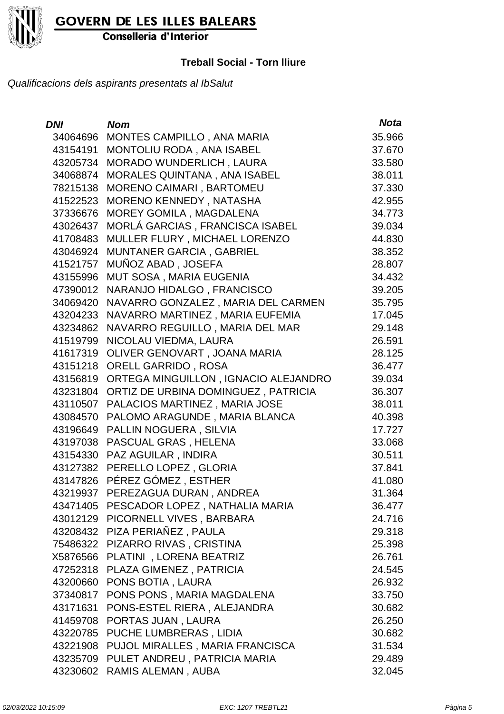

Conselleria d'Interior

#### **Treball Social - Torn lliure**

| <b>DNI</b> | <b>Nom</b>                            | <b>Nota</b> |
|------------|---------------------------------------|-------------|
| 34064696   | MONTES CAMPILLO, ANA MARIA            | 35.966      |
| 43154191   | MONTOLIU RODA, ANA ISABEL             | 37.670      |
| 43205734   | MORADO WUNDERLICH, LAURA              | 33.580      |
| 34068874   | MORALES QUINTANA, ANA ISABEL          | 38.011      |
| 78215138   | MORENO CAIMARI, BARTOMEU              | 37.330      |
| 41522523   | MORENO KENNEDY, NATASHA               | 42.955      |
| 37336676   | MOREY GOMILA, MAGDALENA               | 34.773      |
| 43026437   | MORLÁ GARCIAS, FRANCISCA ISABEL       | 39.034      |
| 41708483   | MULLER FLURY, MICHAEL LORENZO         | 44.830      |
| 43046924   | <b>MUNTANER GARCIA, GABRIEL</b>       | 38.352      |
| 41521757   | MUÑOZ ABAD, JOSEFA                    | 28.807      |
| 43155996   | MUT SOSA, MARIA EUGENIA               | 34.432      |
| 47390012   | NARANJO HIDALGO, FRANCISCO            | 39.205      |
| 34069420   | NAVARRO GONZALEZ, MARIA DEL CARMEN    | 35.795      |
| 43204233   | NAVARRO MARTINEZ, MARIA EUFEMIA       | 17.045      |
| 43234862   | NAVARRO REGUILLO, MARIA DEL MAR       | 29.148      |
| 41519799   | NICOLAU VIEDMA, LAURA                 | 26.591      |
| 41617319   | OLIVER GENOVART, JOANA MARIA          | 28.125      |
| 43151218   | <b>ORELL GARRIDO, ROSA</b>            | 36.477      |
| 43156819   | ORTEGA MINGUILLON, IGNACIO ALEJANDRO  | 39.034      |
| 43231804   | ORTIZ DE URBINA DOMINGUEZ, PATRICIA   | 36.307      |
| 43110507   | PALACIOS MARTINEZ, MARIA JOSE         | 38.011      |
| 43084570   | PALOMO ARAGUNDE, MARIA BLANCA         | 40.398      |
| 43196649   | PALLIN NOGUERA, SILVIA                | 17.727      |
| 43197038   | <b>PASCUAL GRAS, HELENA</b>           | 33.068      |
| 43154330   | PAZ AGUILAR, INDIRA                   | 30.511      |
| 43127382   | PERELLO LOPEZ, GLORIA                 | 37.841      |
| 43147826   | PÉREZ GÓMEZ , ESTHER                  | 41.080      |
| 43219937   | PEREZAGUA DURAN, ANDREA               | 31.364      |
| 43471405   | PESCADOR LOPEZ, NATHALIA MARIA        | 36.477      |
|            | 43012129 PICORNELL VIVES, BARBARA     | 24.716      |
|            | 43208432 PIZA PERIAÑEZ, PAULA         | 29.318      |
| 75486322   | PIZARRO RIVAS, CRISTINA               | 25.398      |
| X5876566   | PLATINI, LORENA BEATRIZ               | 26.761      |
| 47252318   | PLAZA GIMENEZ, PATRICIA               | 24.545      |
| 43200660   | PONS BOTIA, LAURA                     | 26.932      |
| 37340817   | PONS PONS, MARIA MAGDALENA            | 33.750      |
| 43171631   | PONS-ESTEL RIERA, ALEJANDRA           | 30.682      |
| 41459708   | PORTAS JUAN, LAURA                    | 26.250      |
| 43220785   | PUCHE LUMBRERAS, LIDIA                | 30.682      |
| 43221908   | PUJOL MIRALLES, MARIA FRANCISCA       | 31.534      |
|            | 43235709 PULET ANDREU, PATRICIA MARIA | 29.489      |
|            | 43230602 RAMIS ALEMAN, AUBA           | 32.045      |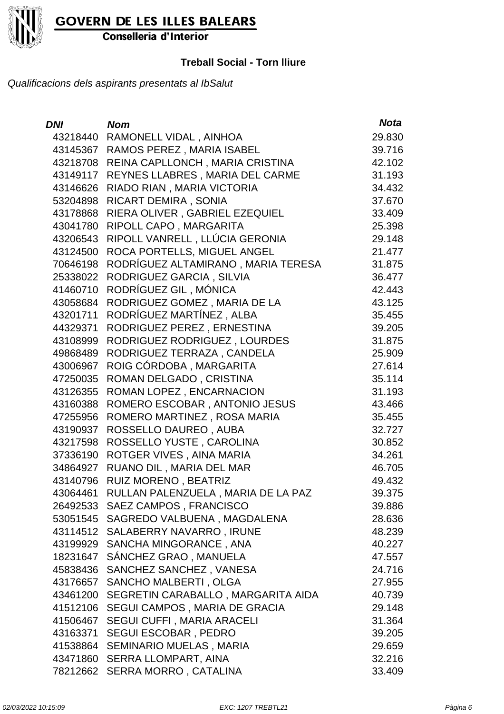

Conselleria d'Interior

#### **Treball Social - Torn lliure**

| <b>DNI</b> | <b>Nom</b>                           | <b>Nota</b> |
|------------|--------------------------------------|-------------|
| 43218440   | RAMONELL VIDAL, AINHOA               | 29.830      |
| 43145367   | RAMOS PEREZ, MARIA ISABEL            | 39.716      |
| 43218708   | REINA CAPLLONCH, MARIA CRISTINA      | 42.102      |
| 43149117   | REYNES LLABRES, MARIA DEL CARME      | 31.193      |
| 43146626   | RIADO RIAN, MARIA VICTORIA           | 34.432      |
| 53204898   | RICART DEMIRA, SONIA                 | 37.670      |
| 43178868   | RIERA OLIVER, GABRIEL EZEQUIEL       | 33.409      |
| 43041780   | RIPOLL CAPO, MARGARITA               | 25.398      |
| 43206543   | RIPOLL VANRELL, LLÚCIA GERONIA       | 29.148      |
| 43124500   | ROCA PORTELLS, MIGUEL ANGEL          | 21.477      |
| 70646198   | RODRÍGUEZ ALTAMIRANO, MARIA TERESA   | 31.875      |
| 25338022   | RODRIGUEZ GARCIA, SILVIA             | 36.477      |
| 41460710   | RODRÍGUEZ GIL, MÓNICA                | 42.443      |
| 43058684   | RODRIGUEZ GOMEZ, MARIA DE LA         | 43.125      |
| 43201711   | RODRÍGUEZ MARTÍNEZ, ALBA             | 35.455      |
| 44329371   | RODRIGUEZ PEREZ, ERNESTINA           | 39.205      |
| 43108999   | RODRIGUEZ RODRIGUEZ, LOURDES         | 31.875      |
| 49868489   | RODRIGUEZ TERRAZA, CANDELA           | 25.909      |
| 43006967   | ROIG CÓRDOBA, MARGARITA              | 27.614      |
| 47250035   | ROMAN DELGADO, CRISTINA              | 35.114      |
| 43126355   | ROMAN LOPEZ, ENCARNACION             | 31.193      |
| 43160388   | ROMERO ESCOBAR, ANTONIO JESUS        | 43.466      |
| 47255956   | ROMERO MARTINEZ, ROSA MARIA          | 35.455      |
| 43190937   | ROSSELLO DAUREO, AUBA                | 32.727      |
| 43217598   | ROSSELLO YUSTE, CAROLINA             | 30.852      |
| 37336190   | ROTGER VIVES, AINA MARIA             | 34.261      |
| 34864927   | RUANO DIL, MARIA DEL MAR             | 46.705      |
| 43140796   | RUIZ MORENO, BEATRIZ                 | 49.432      |
| 43064461   | RULLAN PALENZUELA, MARIA DE LA PAZ   | 39.375      |
| 26492533   | SAEZ CAMPOS, FRANCISCO               | 39.886      |
|            | 53051545 SAGREDO VALBUENA, MAGDALENA | 28.636      |
| 43114512   | SALABERRY NAVARRO, IRUNE             | 48.239      |
| 43199929   | SANCHA MINGORANCE, ANA               | 40.227      |
| 18231647   | SÁNCHEZ GRAO, MANUELA                | 47.557      |
| 45838436   | SANCHEZ SANCHEZ, VANESA              | 24.716      |
| 43176657   | SANCHO MALBERTI, OLGA                | 27.955      |
| 43461200   | SEGRETIN CARABALLO, MARGARITA AIDA   | 40.739      |
| 41512106   | <b>SEGUI CAMPOS, MARIA DE GRACIA</b> | 29.148      |
| 41506467   | SEGUI CUFFI, MARIA ARACELI           | 31.364      |
| 43163371   | <b>SEGUI ESCOBAR, PEDRO</b>          | 39.205      |
| 41538864   | SEMINARIO MUELAS, MARIA              | 29.659      |
| 43471860   | SERRA LLOMPART, AINA                 | 32.216      |
| 78212662   | SERRA MORRO, CATALINA                | 33.409      |